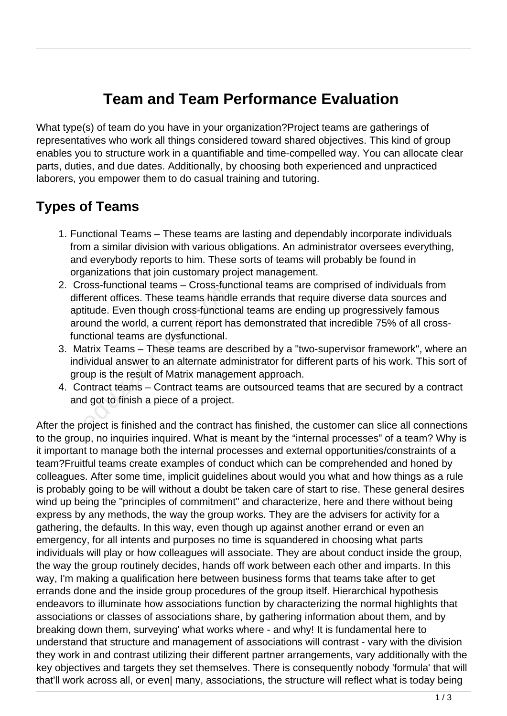## **Team and Team Performance Evaluation**

What type(s) of team do you have in your organization?Project teams are gatherings of representatives who work all things considered toward shared objectives. This kind of group enables you to structure work in a quantifiable and time-compelled way. You can allocate clear parts, duties, and due dates. Additionally, by choosing both experienced and unpracticed laborers, you empower them to do casual training and tutoring.

## **Types of Teams**

- 1. Functional Teams These teams are lasting and dependably incorporate individuals from a similar division with various obligations. An administrator oversees everything, and everybody reports to him. These sorts of teams will probably be found in organizations that join customary project management.
- 2. Cross-functional teams Cross-functional teams are comprised of individuals from different offices. These teams handle errands that require diverse data sources and aptitude. Even though cross-functional teams are ending up progressively famous around the world, a current report has demonstrated that incredible 75% of all crossfunctional teams are dysfunctional. oss-luncuonal teams – Cross-lund<br>erent offices. These teams handle<br>iitude. Even though cross-function<br>ound the world, a current report ha<br>actional teams are dysfunctional.<br>atrix Teams – These teams are de<br>ividual answer to
- 3. Matrix Teams These teams are described by a "two-supervisor framework", where an individual answer to an alternate administrator for different parts of his work. This sort of group is the result of Matrix management approach.
- 4. Contract teams Contract teams are outsourced teams that are secured by a contract and got to finish a piece of a project.

After the project is finished and the contract has finished, the customer can slice all connections to the group, no inquiries inquired. What is meant by the "internal processes" of a team? Why is it important to manage both the internal processes and external opportunities/constraints of a team?Fruitful teams create examples of conduct which can be comprehended and honed by colleagues. After some time, implicit guidelines about would you what and how things as a rule is probably going to be will without a doubt be taken care of start to rise. These general desires wind up being the "principles of commitment" and characterize, here and there without being express by any methods, the way the group works. They are the advisers for activity for a gathering, the defaults. In this way, even though up against another errand or even an emergency, for all intents and purposes no time is squandered in choosing what parts individuals will play or how colleagues will associate. They are about conduct inside the group, the way the group routinely decides, hands off work between each other and imparts. In this way, I'm making a qualification here between business forms that teams take after to get errands done and the inside group procedures of the group itself. Hierarchical hypothesis endeavors to illuminate how associations function by characterizing the normal highlights that associations or classes of associations share, by gathering information about them, and by breaking down them, surveying' what works where - and why! It is fundamental here to understand that structure and management of associations will contrast - vary with the division they work in and contrast utilizing their different partner arrangements, vary additionally with the key objectives and targets they set themselves. There is consequently nobody 'formula' that will that'll work across all, or even| many, associations, the structure will reflect what is today being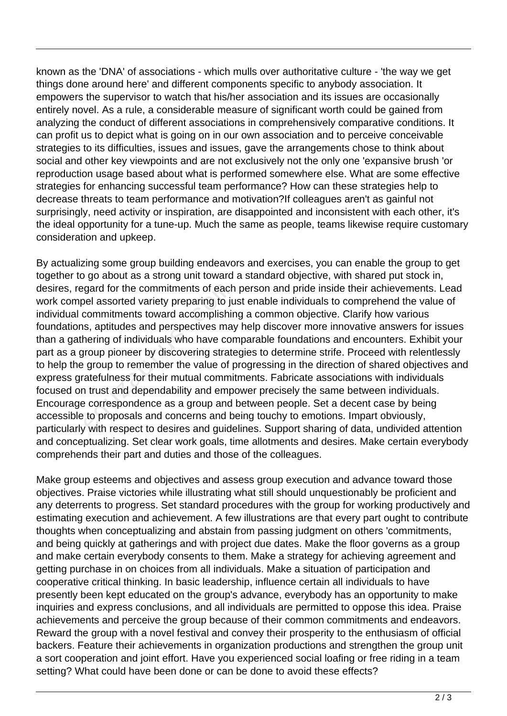known as the 'DNA' of associations - which mulls over authoritative culture - 'the way we get things done around here' and different components specific to anybody association. It empowers the supervisor to watch that his/her association and its issues are occasionally entirely novel. As a rule, a considerable measure of significant worth could be gained from analyzing the conduct of different associations in comprehensively comparative conditions. It can profit us to depict what is going on in our own association and to perceive conceivable strategies to its difficulties, issues and issues, gave the arrangements chose to think about social and other key viewpoints and are not exclusively not the only one 'expansive brush 'or reproduction usage based about what is performed somewhere else. What are some effective strategies for enhancing successful team performance? How can these strategies help to decrease threats to team performance and motivation?If colleagues aren't as gainful not surprisingly, need activity or inspiration, are disappointed and inconsistent with each other, it's the ideal opportunity for a tune-up. Much the same as people, teams likewise require customary consideration and upkeep.

By actualizing some group building endeavors and exercises, you can enable the group to get together to go about as a strong unit toward a standard objective, with shared put stock in, desires, regard for the commitments of each person and pride inside their achievements. Lead work compel assorted variety preparing to just enable individuals to comprehend the value of individual commitments toward accomplishing a common objective. Clarify how various foundations, aptitudes and perspectives may help discover more innovative answers for issues than a gathering of individuals who have comparable foundations and encounters. Exhibit your part as a group pioneer by discovering strategies to determine strife. Proceed with relentlessly to help the group to remember the value of progressing in the direction of shared objectives and express gratefulness for their mutual commitments. Fabricate associations with individuals focused on trust and dependability and empower precisely the same between individuals. Encourage correspondence as a group and between people. Set a decent case by being accessible to proposals and concerns and being touchy to emotions. Impart obviously, particularly with respect to desires and guidelines. Support sharing of data, undivided attention and conceptualizing. Set clear work goals, time allotments and desires. Make certain everybody comprehends their part and duties and those of the colleagues. gard for the commitments of each<br>bel assorted variety preparing to ju<br>commitments toward accomplishir<br>s, aptitudes and perspectives may<br>nering of individuals who have cor<br>roup pioneer by discovering strate<br>group to remembe

Make group esteems and objectives and assess group execution and advance toward those objectives. Praise victories while illustrating what still should unquestionably be proficient and any deterrents to progress. Set standard procedures with the group for working productively and estimating execution and achievement. A few illustrations are that every part ought to contribute thoughts when conceptualizing and abstain from passing judgment on others 'commitments, and being quickly at gatherings and with project due dates. Make the floor governs as a group and make certain everybody consents to them. Make a strategy for achieving agreement and getting purchase in on choices from all individuals. Make a situation of participation and cooperative critical thinking. In basic leadership, influence certain all individuals to have presently been kept educated on the group's advance, everybody has an opportunity to make inquiries and express conclusions, and all individuals are permitted to oppose this idea. Praise achievements and perceive the group because of their common commitments and endeavors. Reward the group with a novel festival and convey their prosperity to the enthusiasm of official backers. Feature their achievements in organization productions and strengthen the group unit a sort cooperation and joint effort. Have you experienced social loafing or free riding in a team setting? What could have been done or can be done to avoid these effects?